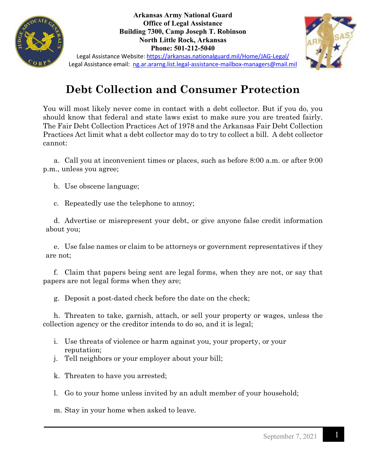

**Arkansas Army National Guard Office of Legal Assistance Building 7300, Camp Joseph T. Robinson North Little Rock, Arkansas Phone: 501-212-5040**



Legal Assistance Website:<https://arkansas.nationalguard.mil/Home/JAG-Legal/> Legal Assistance email: [ng.ar.ararng.list.legal-assistance-mailbox-managers@mail.mil](mailto:ng.ar.ararng.list.legal-assistance-mailbox-managers@mail.mil)

## **Debt Collection and Consumer Protection**

You will most likely never come in contact with a debt collector. But if you do, you should know that federal and state laws exist to make sure you are treated fairly. The Fair Debt Collection Practices Act of 1978 and the Arkansas Fair Debt Collection Practices Act limit what a debt collector may do to try to collect a bill. A debt collector cannot:

a. Call you at inconvenient times or places, such as before 8:00 a.m. or after 9:00 p.m., unless you agree;

b. Use obscene language;

c. Repeatedly use the telephone to annoy;

d. Advertise or misrepresent your debt, or give anyone false credit information about you;

e. Use false names or claim to be attorneys or government representatives if they are not;

f. Claim that papers being sent are legal forms, when they are not, or say that papers are not legal forms when they are;

g. Deposit a post-dated check before the date on the check;

h. Threaten to take, garnish, attach, or sell your property or wages, unless the collection agency or the creditor intends to do so, and it is legal;

- i. Use threats of violence or harm against you, your property, or your reputation;
- j. Tell neighbors or your employer about your bill;
- k. Threaten to have you arrested;

l. Go to your home unless invited by an adult member of your household;

m. Stay in your home when asked to leave.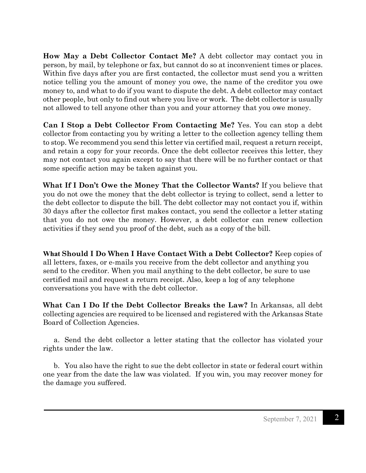**How May a Debt Collector Contact Me?** A debt collector may contact you in person, by mail, by telephone or fax, but cannot do so at inconvenient times or places. Within five days after you are first contacted, the collector must send you a written notice telling you the amount of money you owe, the name of the creditor you owe money to, and what to do if you want to dispute the debt. A debt collector may contact other people, but only to find out where you live or work. The debt collector is usually not allowed to tell anyone other than you and your attorney that you owe money.

**Can I Stop a Debt Collector From Contacting Me?** Yes. You can stop a debt collector from contacting you by writing a letter to the collection agency telling them to stop. We recommend you send this letter via certified mail, request a return receipt, and retain a copy for your records. Once the debt collector receives this letter, they may not contact you again except to say that there will be no further contact or that some specific action may be taken against you.

**What If I Don't Owe the Money That the Collector Wants?** If you believe that you do not owe the money that the debt collector is trying to collect, send a letter to the debt collector to dispute the bill. The debt collector may not contact you if, within 30 days after the collector first makes contact, you send the collector a letter stating that you do not owe the money. However, a debt collector can renew collection activities if they send you proof of the debt, such as a copy of the bill.

**What Should I Do When I Have Contact With a Debt Collector?** Keep copies of all letters, faxes, or e-mails you receive from the debt collector and anything you send to the creditor. When you mail anything to the debt collector, be sure to use certified mail and request a return receipt. Also, keep a log of any telephone conversations you have with the debt collector.

**What Can I Do If the Debt Collector Breaks the Law?** In Arkansas, all debt collecting agencies are required to be licensed and registered with the Arkansas State Board of Collection Agencies.

a. Send the debt collector a letter stating that the collector has violated your rights under the law.

b. You also have the right to sue the debt collector in state or federal court within one year from the date the law was violated. If you win, you may recover money for the damage you suffered.